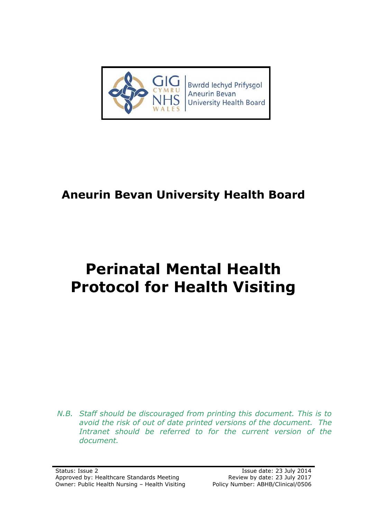

# **Aneurin Bevan University Health Board**

# **Perinatal Mental Health Protocol for Health Visiting**

*N.B. Staff should be discouraged from printing this document. This is to avoid the risk of out of date printed versions of the document. The*  Intranet should be referred to for the current version of the *document.*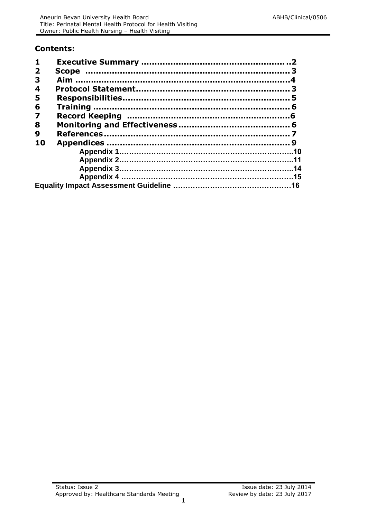#### **Contents:**

| $\mathbf{1}$            |  |
|-------------------------|--|
| $\overline{\mathbf{2}}$ |  |
| 3                       |  |
| 4                       |  |
| 5                       |  |
| 6                       |  |
| $\overline{\mathbf{z}}$ |  |
| 8                       |  |
| 9                       |  |
| 10                      |  |
|                         |  |
|                         |  |
|                         |  |
|                         |  |
|                         |  |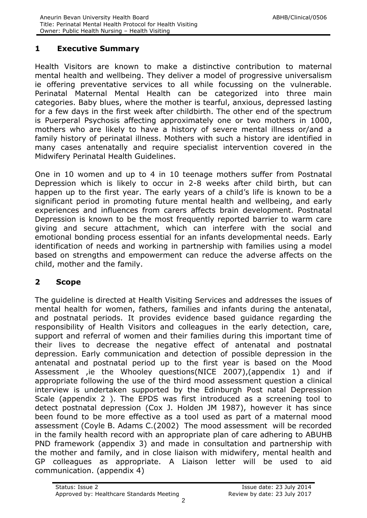# **1 Executive Summary**

Health Visitors are known to make a distinctive contribution to maternal mental health and wellbeing. They deliver a model of progressive universalism ie offering preventative services to all while focussing on the vulnerable. Perinatal Maternal Mental Health can be categorized into three main categories. Baby blues, where the mother is tearful, anxious, depressed lasting for a few days in the first week after childbirth. The other end of the spectrum is Puerperal Psychosis affecting approximately one or two mothers in 1000, mothers who are likely to have a history of severe mental illness or/and a family history of perinatal illness. Mothers with such a history are identified in many cases antenatally and require specialist intervention covered in the Midwifery Perinatal Health Guidelines.

One in 10 women and up to 4 in 10 teenage mothers suffer from Postnatal Depression which is likely to occur in 2-8 weeks after child birth, but can happen up to the first year. The early years of a child's life is known to be a significant period in promoting future mental health and wellbeing, and early experiences and influences from carers affects brain development. Postnatal Depression is known to be the most frequently reported barrier to warm care giving and secure attachment, which can interfere with the social and emotional bonding process essential for an infants developmental needs. Early identification of needs and working in partnership with families using a model based on strengths and empowerment can reduce the adverse affects on the child, mother and the family.

#### <span id="page-2-0"></span>**2 Scope**

The guideline is directed at Health Visiting Services and addresses the issues of mental health for women, fathers, families and infants during the antenatal, and postnatal periods. It provides evidence based guidance regarding the responsibility of Health Visitors and colleagues in the early detection, care, support and referral of women and their families during this important time of their lives to decrease the negative effect of antenatal and postnatal depression. Early communication and detection of possible depression in the antenatal and postnatal period up to the first year is based on the Mood Assessment ,ie the Whooley questions(NICE 2007),(appendix 1) and if appropriate following the use of the third mood assessment question a clinical interview is undertaken supported by the Edinburgh Post natal Depression Scale (appendix 2 ). The EPDS was first introduced as a screening tool to detect postnatal depression (Cox J. Holden JM 1987), however it has since been found to be more effective as a tool used as part of a maternal mood assessment (Coyle B. Adams C.(2002) The mood assessment will be recorded in the family health record with an appropriate plan of care adhering to ABUHB PND framework (appendix 3) and made in consultation and partnership with the mother and family, and in close liaison with midwifery, mental health and GP colleagues as appropriate. A Liaison letter will be used to aid communication. (appendix 4)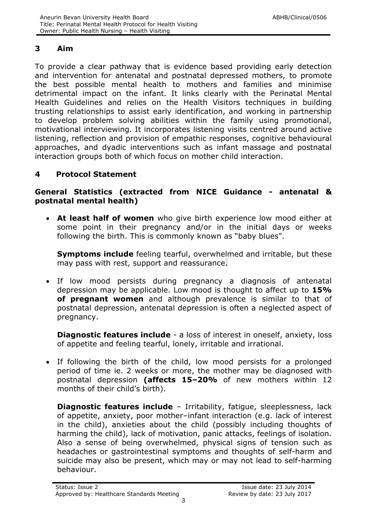# <span id="page-3-0"></span>**3 Aim**

To provide a clear pathway that is evidence based providing early detection and intervention for antenatal and postnatal depressed mothers, to promote the best possible mental health to mothers and families and minimise detrimental impact on the infant. It links clearly with the Perinatal Mental Health Guidelines and relies on the Health Visitors techniques in building trusting relationships to assist early identification, and working in partnership to develop problem solving abilities within the family using promotional, motivational interviewing. It incorporates listening visits centred around active listening, reflection and provision of empathic responses, cognitive behavioural approaches, and dyadic interventions such as infant massage and postnatal interaction groups both of which focus on mother child interaction.

# <span id="page-3-1"></span>**4 Protocol Statement**

### **General Statistics (extracted from NICE Guidance - antenatal & postnatal mental health)**

 **At least half of women** who give birth experience low mood either at some point in their pregnancy and/or in the initial days or weeks following the birth. This is commonly known as "baby blues".

**Symptoms include** feeling tearful, overwhelmed and irritable, but these may pass with rest, support and reassurance.

 If low mood persists during pregnancy a diagnosis of antenatal depression may be applicable. Low mood is thought to affect up to **15% of pregnant women** and although prevalence is similar to that of postnatal depression, antenatal depression is often a neglected aspect of pregnancy.

**Diagnostic features include** - a loss of interest in oneself, anxiety, loss of appetite and feeling tearful, lonely, irritable and irrational.

 If following the birth of the child, low mood persists for a prolonged period of time ie. 2 weeks or more, the mother may be diagnosed with postnatal depression **(affects 15–20%** of new mothers within 12 months of their child's birth).

**Diagnostic features include** - Irritability, fatigue, sleeplessness, lack of appetite, anxiety, poor mother–infant interaction (e.g. lack of interest in the child), anxieties about the child (possibly including thoughts of harming the child), lack of motivation, panic attacks, feelings of isolation. Also a sense of being overwhelmed, physical signs of tension such as headaches or gastrointestinal symptoms and thoughts of self-harm and suicide may also be present, which may or may not lead to self-harming behaviour.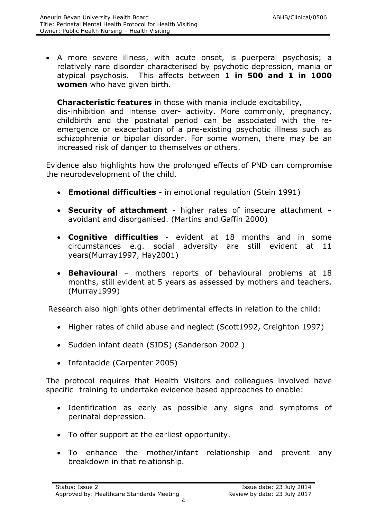A more severe illness, with acute onset, is puerperal psychosis; a relatively rare disorder characterised by psychotic depression, mania or atypical psychosis. This affects between **1 in 500 and 1 in 1000 women** who have given birth.

#### **Characteristic features** in those with mania include excitability,

dis-inhibition and intense over- activity. More commonly, pregnancy, childbirth and the postnatal period can be associated with the reemergence or exacerbation of a pre-existing psychotic illness such as schizophrenia or bipolar disorder. For some women, there may be an increased risk of danger to themselves or others.

Evidence also highlights how the prolonged effects of PND can compromise the neurodevelopment of the child.

- **Emotional difficulties** in emotional regulation (Stein 1991)
- **Security of attachment** higher rates of insecure attachment avoidant and disorganised. (Martins and Gaffin 2000)
- **Cognitive difficulties** evident at 18 months and in some circumstances e.g. social adversity are still evident at 11 years(Murray1997, Hay2001)
- **Behavioural**  mothers reports of behavioural problems at 18 months, still evident at 5 years as assessed by mothers and teachers. (Murray1999)

Research also highlights other detrimental effects in relation to the child:

- Higher rates of child abuse and neglect (Scott1992, Creighton 1997)
- Sudden infant death (SIDS) (Sanderson 2002)
- Infantacide (Carpenter 2005)

The protocol requires that Health Visitors and colleagues involved have specific training to undertake evidence based approaches to enable:

- Identification as early as possible any signs and symptoms of perinatal depression.
- To offer support at the earliest opportunity.
- To enhance the mother/infant relationship and prevent any breakdown in that relationship.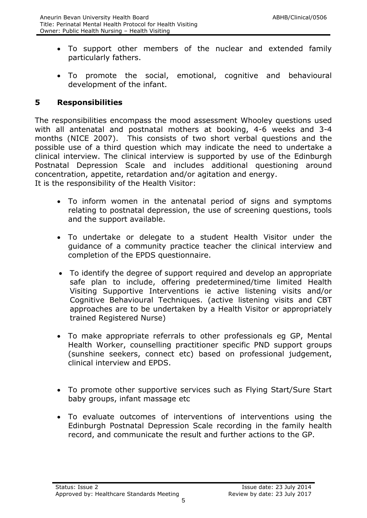- To support other members of the nuclear and extended family particularly fathers.
- To promote the social, emotional, cognitive and behavioural development of the infant.

### <span id="page-5-0"></span>**5 Responsibilities**

The responsibilities encompass the mood assessment Whooley questions used with all antenatal and postnatal mothers at booking, 4-6 weeks and 3-4 months (NICE 2007). This consists of two short verbal questions and the possible use of a third question which may indicate the need to undertake a clinical interview. The clinical interview is supported by use of the Edinburgh Postnatal Depression Scale and includes additional questioning around concentration, appetite, retardation and/or agitation and energy. It is the responsibility of the Health Visitor:

- To inform women in the antenatal period of signs and symptoms relating to postnatal depression, the use of screening questions, tools and the support available.
- To undertake or delegate to a student Health Visitor under the guidance of a community practice teacher the clinical interview and completion of the EPDS questionnaire.
- To identify the degree of support required and develop an appropriate safe plan to include, offering predetermined/time limited Health Visiting Supportive Interventions ie active listening visits and/or Cognitive Behavioural Techniques. (active listening visits and CBT approaches are to be undertaken by a Health Visitor or appropriately trained Registered Nurse)
- To make appropriate referrals to other professionals eg GP, Mental Health Worker, counselling practitioner specific PND support groups (sunshine seekers, connect etc) based on professional judgement, clinical interview and EPDS.
- To promote other supportive services such as Flying Start/Sure Start baby groups, infant massage etc
- <span id="page-5-1"></span> To evaluate outcomes of interventions of interventions using the Edinburgh Postnatal Depression Scale recording in the family health record, and communicate the result and further actions to the GP.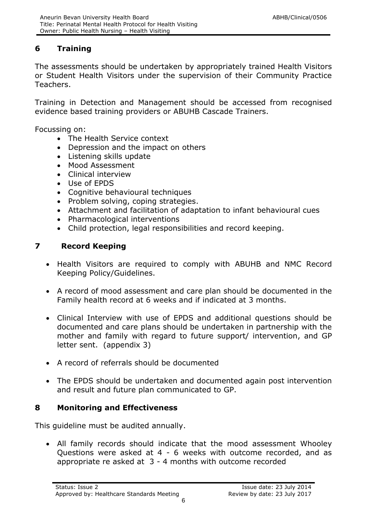# **6 Training**

The assessments should be undertaken by appropriately trained Health Visitors or Student Health Visitors under the supervision of their Community Practice Teachers.

<span id="page-6-0"></span>Training in Detection and Management should be accessed from recognised evidence based training providers or ABUHB Cascade Trainers.

Focussing on:

- The Health Service context
- Depression and the impact on others
- Listening skills update
- Mood Assessment
- Clinical interview
- Use of EPDS
- Cognitive behavioural techniques
- Problem solving, coping strategies.
- Attachment and facilitation of adaptation to infant behavioural cues
- Pharmacological interventions
- Child protection, legal responsibilities and record keeping.

### **7 Record Keeping**

- Health Visitors are required to comply with ABUHB and NMC Record Keeping Policy/Guidelines.
- A record of mood assessment and care plan should be documented in the Family health record at 6 weeks and if indicated at 3 months.
- Clinical Interview with use of EPDS and additional questions should be documented and care plans should be undertaken in partnership with the mother and family with regard to future support/ intervention, and GP letter sent. (appendix 3)
- A record of referrals should be documented
- The EPDS should be undertaken and documented again post intervention and result and future plan communicated to GP.

# <span id="page-6-1"></span>**8 Monitoring and Effectiveness**

This guideline must be audited annually.

 All family records should indicate that the mood assessment Whooley Questions were asked at 4 - 6 weeks with outcome recorded, and as appropriate re asked at 3 - 4 months with outcome recorded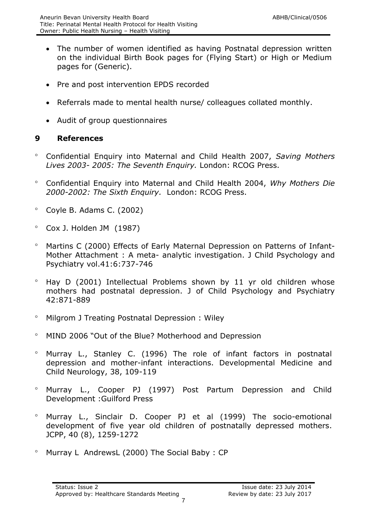- The number of women identified as having Postnatal depression written on the individual Birth Book pages for (Flying Start) or High or Medium pages for (Generic).
- Pre and post intervention EPDS recorded
- Referrals made to mental health nurse/ colleagues collated monthly.
- Audit of group questionnaires

# <span id="page-7-0"></span>**9 References**

- Confidential Enquiry into Maternal and Child Health 2007, *Saving Mothers Lives 2003- 2005: The Seventh Enquiry.* London: RCOG Press.
- Confidential Enquiry into Maternal and Child Health 2004, *Why Mothers Die 2000-2002: The Sixth Enquiry.* London: RCOG Press.
- $^{\circ}$  Coyle B. Adams C. (2002)
- Cox J. Holden JM (1987)
- Martins C (2000) Effects of Early Maternal Depression on Patterns of Infant-Mother Attachment : A meta- analytic investigation. J Child Psychology and Psychiatry vol.41:6:737-746
- $\degree$  Hay D (2001) Intellectual Problems shown by 11 yr old children whose mothers had postnatal depression. J of Child Psychology and Psychiatry 42:871-889
- <sup>o</sup> Milgrom J Treating Postnatal Depression : Wiley
- MIND 2006 "Out of the Blue? Motherhood and Depression
- Murray L., Stanley C. (1996) The role of infant factors in postnatal depression and mother-infant interactions. Developmental Medicine and Child Neurology, 38, 109-119
- Murray L., Cooper PJ (1997) Post Partum Depression and Child Development :Guilford Press
- Murray L., Sinclair D. Cooper PJ et al (1999) The socio-emotional development of five year old children of postnatally depressed mothers. JCPP, 40 (8), 1259-1272
- Murray L AndrewsL (2000) The Social Baby : CP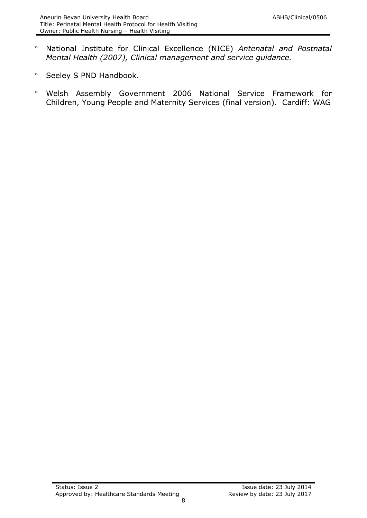- National Institute for Clinical Excellence (NICE) *Antenatal and Postnatal Mental Health (2007), Clinical management and service guidance.*
- <sup>o</sup> Seeley S PND Handbook.
- Welsh Assembly Government 2006 National Service Framework for Children, Young People and Maternity Services (final version). Cardiff: WAG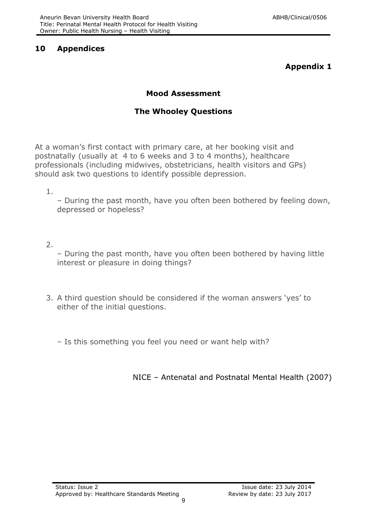### <span id="page-9-0"></span>**10 Appendices**

# **Appendix 1**

# **Mood Assessment**

# **The Whooley Questions**

At a woman's first contact with primary care, at her booking visit and postnatally (usually at 4 to 6 weeks and 3 to 4 months), healthcare professionals (including midwives, obstetricians, health visitors and GPs) should ask two questions to identify possible depression.

1.

– During the past month, have you often been bothered by feeling down, depressed or hopeless?

2.

– During the past month, have you often been bothered by having little interest or pleasure in doing things?

3. A third question should be considered if the woman answers 'yes' to either of the initial questions.

– Is this something you feel you need or want help with?

NICE – Antenatal and Postnatal Mental Health (2007)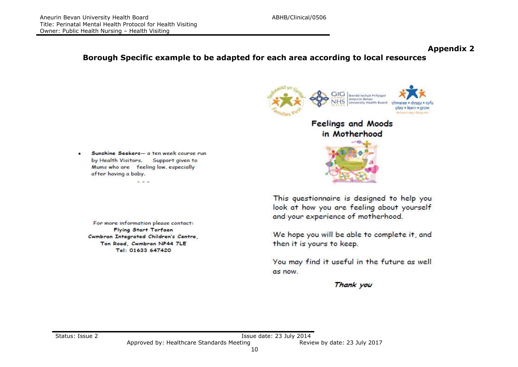#### **Appendix 2**

**Borough Specific example to be adapted for each area according to local resources**

Sunshine Seekers- a ten week course run ٠ by Health Visitors. Support given to Mums who are feeling low, especially after having a baby.

**Contractor** 

Ton Road, Cwmbran NP44 7LE Tel: 01633 647420

For more information please contact: Flying Start Torfaen Cwmbran Integrated Children's Centre,



This questionnaire is designed to help you look at how you are feeling about yourself and your experience of motherhood.

We hope you will be able to complete it, and then it is yours to keep.

You may find it useful in the future as well as now.

Thank you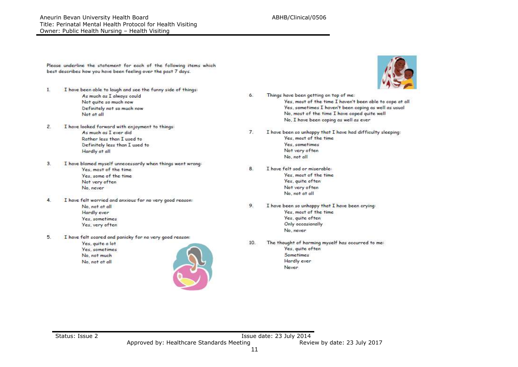Aneurin Bevan University Health Board ABHB/Clinical/0506 Title: Perinatal Mental Health Protocol for Health Visiting Owner: Public Health Nursing – Health Visiting

Please underline the statement for each of the following items which best describes how you have been feeling over the past 7 days.

- Ŧ. I have been able to laugh and see the funny side of things: As much as I always could Not quite so much now Definitely not so much now Not at all
- $\overline{2}$ . I have looked forward with enjoyment to things: As much as I ever did Rother less than Tused to Definitely less than I used to Hardly at all
- $3.$ I have blamed myself unnecessarily when things went wrong: Yes, most of the time Yes, some of the time Not very often No, never
- 4. I have felt worried and anxious for no very good reason: No, not at all Hardly ever Yes, sometimes Yes, very often
- 5. I have felt scared and panicky for no very good reason:

Yes, quite a lot Yes, sometimes No. not much No, not at all





- Things have been getting on top of me: 6. Yes, most of the time I haven't been able to cope at all Yes, sometimes I haven't been coping as well as usual No, most of the time I have coped quite well No, I have been coping as well as ever
- I have been so unhappy that I have had difficulty sleeping:  $7.$ Yes, most of the time. Yes, sometimes Not very often No. not all
- I have felt sad or miserable: 8 Yes, most of the time Yes, quite often Not very often No. not at all
- 9 I have been so unhappy that I have been crying: Yes, most of the time Yes, quite often Only occasionally No. never
- The thought of harming myself has occurred to me: 10. Yes, quite often Sometimes Hardly ever Never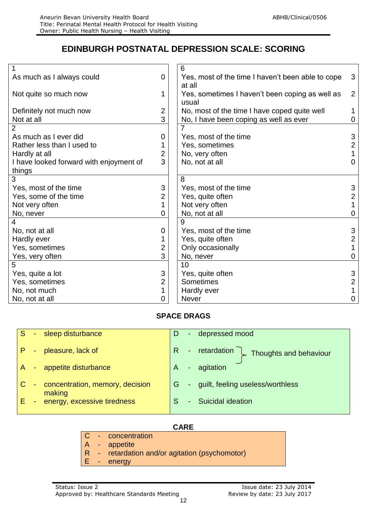# **EDINBURGH POSTNATAL DEPRESSION SCALE: SCORING**

|                                         |   | 6                                                 |                     |  |
|-----------------------------------------|---|---------------------------------------------------|---------------------|--|
| As much as I always could               |   | Yes, most of the time I haven't been able to cope | 3                   |  |
|                                         |   | at all                                            |                     |  |
| Not quite so much now                   |   | Yes, sometimes I haven't been coping as well as   | 2                   |  |
|                                         |   | usual                                             |                     |  |
| Definitely not much now                 |   | No, most of the time I have coped quite well      | $\mathbf 1$         |  |
| Not at all                              | 3 | No, I have been coping as well as ever            | 0                   |  |
| $\overline{2}$                          |   | 7                                                 |                     |  |
| As much as I ever did                   | 0 | Yes, most of the time                             | 3                   |  |
| Rather less than I used to              |   | Yes, sometimes                                    | $\overline{2}$      |  |
| Hardly at all                           |   | No, very often                                    |                     |  |
| I have looked forward with enjoyment of |   | No, not at all                                    | $\overline{0}$      |  |
| things                                  |   |                                                   |                     |  |
| 3                                       |   | 8                                                 |                     |  |
| Yes, most of the time                   | 3 | Yes, most of the time                             | 3                   |  |
| Yes, some of the time                   |   | Yes, quite often                                  | $\overline{2}$      |  |
| Not very often                          |   | Not very often                                    |                     |  |
| No, never<br>0                          |   | No, not at all                                    | $\overline{0}$      |  |
| 4                                       |   | 9                                                 |                     |  |
| No, not at all                          | 0 | Yes, most of the time                             | 3                   |  |
| Hardly ever                             |   | Yes, quite often                                  | $\overline{2}$      |  |
| Yes, sometimes                          | 2 | Only occasionally                                 | $\mathbf{1}$        |  |
| Yes, very often                         | 3 | No, never                                         | $\overline{0}$      |  |
| 5                                       |   | 10                                                |                     |  |
| Yes, quite a lot                        | 3 | Yes, quite often                                  | 3<br>$\overline{2}$ |  |
| 2<br>Yes, sometimes                     |   | Sometimes                                         |                     |  |
| No, not much                            |   | Hardly ever                                       |                     |  |
| No, not at all<br>0                     |   | <b>Never</b>                                      |                     |  |
|                                         |   |                                                   |                     |  |

#### **SPACE DRAGS**

| S. |        | - sleep disturbance                         | D  | depressed mood                            |
|----|--------|---------------------------------------------|----|-------------------------------------------|
|    | $\sim$ | pleasure, lack of                           | R. | - retardation \<br>Thoughts and behaviour |
|    |        | A - appetite disturbance                    | A  | agitation                                 |
|    |        | - concentration, memory, decision<br>making |    | - guilt, feeling useless/worthless        |
| E. |        | - energy, excessive tiredness               |    | <b>Suicidal ideation</b>                  |

#### **CARE**

- C concentration
- A appetite
- R retardation and/or agitation (psychomotor)
- E energy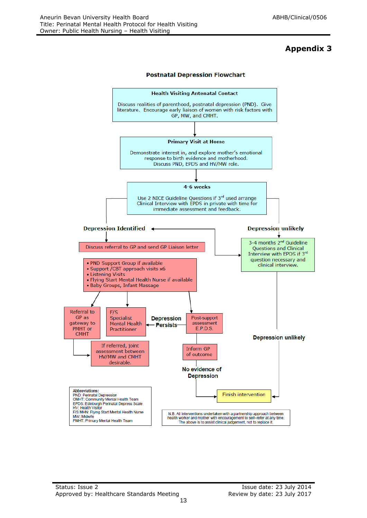# **Appendix 3**